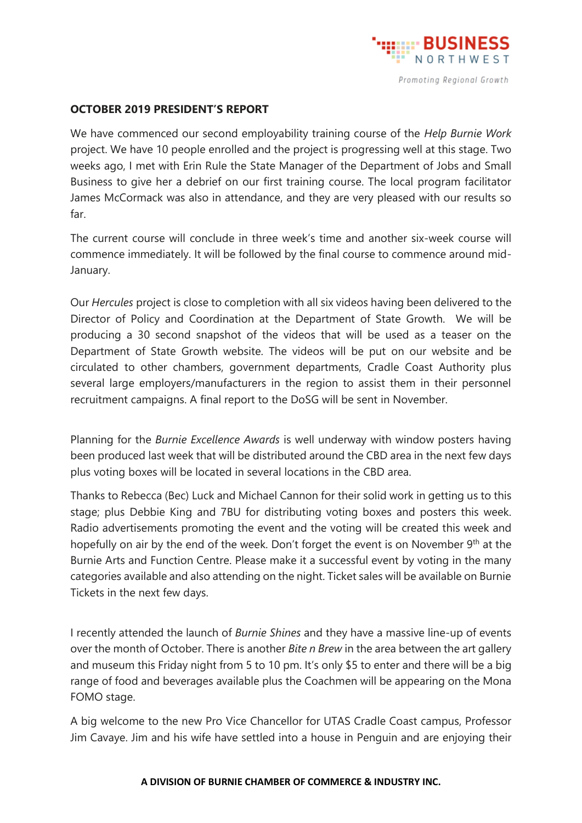

## **OCTOBER 2019 PRESIDENT'S REPORT**

We have commenced our second employability training course of the *Help Burnie Work* project. We have 10 people enrolled and the project is progressing well at this stage. Two weeks ago, I met with Erin Rule the State Manager of the Department of Jobs and Small Business to give her a debrief on our first training course. The local program facilitator James McCormack was also in attendance, and they are very pleased with our results so far.

The current course will conclude in three week's time and another six-week course will commence immediately. It will be followed by the final course to commence around mid-January.

Our *Hercules* project is close to completion with all six videos having been delivered to the Director of Policy and Coordination at the Department of State Growth. We will be producing a 30 second snapshot of the videos that will be used as a teaser on the Department of State Growth website. The videos will be put on our website and be circulated to other chambers, government departments, Cradle Coast Authority plus several large employers/manufacturers in the region to assist them in their personnel recruitment campaigns. A final report to the DoSG will be sent in November.

Planning for the *Burnie Excellence Awards* is well underway with window posters having been produced last week that will be distributed around the CBD area in the next few days plus voting boxes will be located in several locations in the CBD area.

Thanks to Rebecca (Bec) Luck and Michael Cannon for their solid work in getting us to this stage; plus Debbie King and 7BU for distributing voting boxes and posters this week. Radio advertisements promoting the event and the voting will be created this week and hopefully on air by the end of the week. Don't forget the event is on November 9<sup>th</sup> at the Burnie Arts and Function Centre. Please make it a successful event by voting in the many categories available and also attending on the night. Ticket sales will be available on Burnie Tickets in the next few days.

I recently attended the launch of *Burnie Shines* and they have a massive line-up of events over the month of October. There is another *Bite n Brew* in the area between the art gallery and museum this Friday night from 5 to 10 pm. It's only \$5 to enter and there will be a big range of food and beverages available plus the Coachmen will be appearing on the Mona FOMO stage.

A big welcome to the new Pro Vice Chancellor for UTAS Cradle Coast campus, Professor Jim Cavaye. Jim and his wife have settled into a house in Penguin and are enjoying their